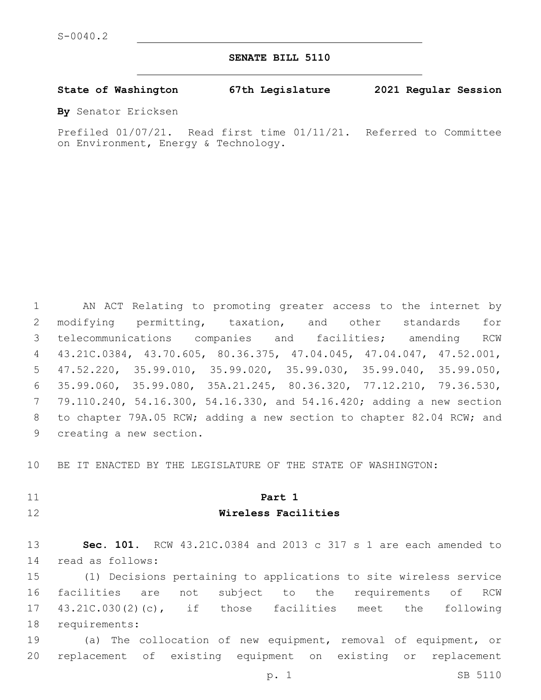**SENATE BILL 5110**

**State of Washington 67th Legislature 2021 Regular Session**

**By** Senator Ericksen

Prefiled 01/07/21. Read first time 01/11/21. Referred to Committee on Environment, Energy & Technology.

 AN ACT Relating to promoting greater access to the internet by modifying permitting, taxation, and other standards for telecommunications companies and facilities; amending RCW 43.21C.0384, 43.70.605, 80.36.375, 47.04.045, 47.04.047, 47.52.001, 47.52.220, 35.99.010, 35.99.020, 35.99.030, 35.99.040, 35.99.050, 35.99.060, 35.99.080, 35A.21.245, 80.36.320, 77.12.210, 79.36.530, 79.110.240, 54.16.300, 54.16.330, and 54.16.420; adding a new section to chapter 79A.05 RCW; adding a new section to chapter 82.04 RCW; and 9 creating a new section.

BE IT ENACTED BY THE LEGISLATURE OF THE STATE OF WASHINGTON:

# **Part 1 Wireless Facilities**

 **Sec. 101.** RCW 43.21C.0384 and 2013 c 317 s 1 are each amended to read as follows:14

 (1) Decisions pertaining to applications to site wireless service facilities are not subject to the requirements of RCW 43.21C.030(2)(c), if those facilities meet the following 18 requirements:

 (a) The collocation of new equipment, removal of equipment, or replacement of existing equipment on existing or replacement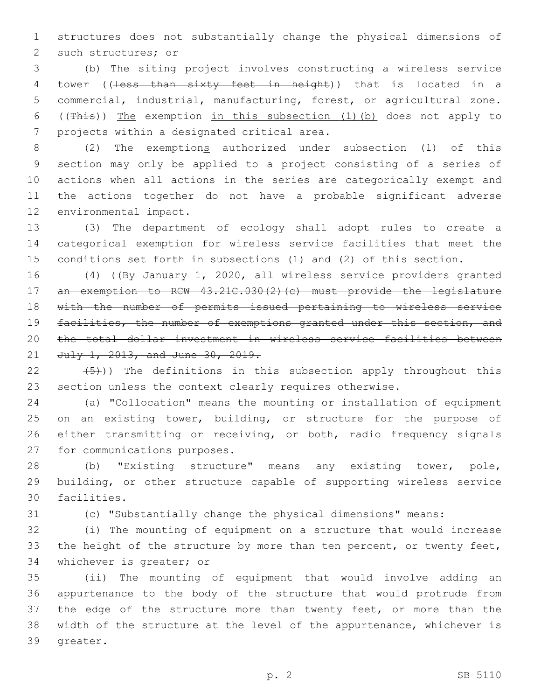structures does not substantially change the physical dimensions of 2 such structures; or

 (b) The siting project involves constructing a wireless service 4 tower ((less than sixty feet in height)) that is located in a commercial, industrial, manufacturing, forest, or agricultural zone. ((This)) The exemption in this subsection (1)(b) does not apply to 7 projects within a designated critical area.

 (2) The exemptions authorized under subsection (1) of this section may only be applied to a project consisting of a series of actions when all actions in the series are categorically exempt and the actions together do not have a probable significant adverse 12 environmental impact.

 (3) The department of ecology shall adopt rules to create a categorical exemption for wireless service facilities that meet the conditions set forth in subsections (1) and (2) of this section.

 (4) ((By January 1, 2020, all wireless service providers granted 17 an exemption to RCW 43.21C.030(2)(c) must provide the legislature with the number of permits issued pertaining to wireless service facilities, the number of exemptions granted under this section, and the total dollar investment in wireless service facilities between 21 July 1, 2013, and June 30, 2019.

22  $(5)$ )) The definitions in this subsection apply throughout this section unless the context clearly requires otherwise.

 (a) "Collocation" means the mounting or installation of equipment 25 on an existing tower, building, or structure for the purpose of either transmitting or receiving, or both, radio frequency signals 27 for communications purposes.

 (b) "Existing structure" means any existing tower, pole, building, or other structure capable of supporting wireless service 30 facilities.

(c) "Substantially change the physical dimensions" means:

 (i) The mounting of equipment on a structure that would increase 33 the height of the structure by more than ten percent, or twenty feet, 34 whichever is greater; or

 (ii) The mounting of equipment that would involve adding an appurtenance to the body of the structure that would protrude from 37 the edge of the structure more than twenty feet, or more than the width of the structure at the level of the appurtenance, whichever is 39 greater.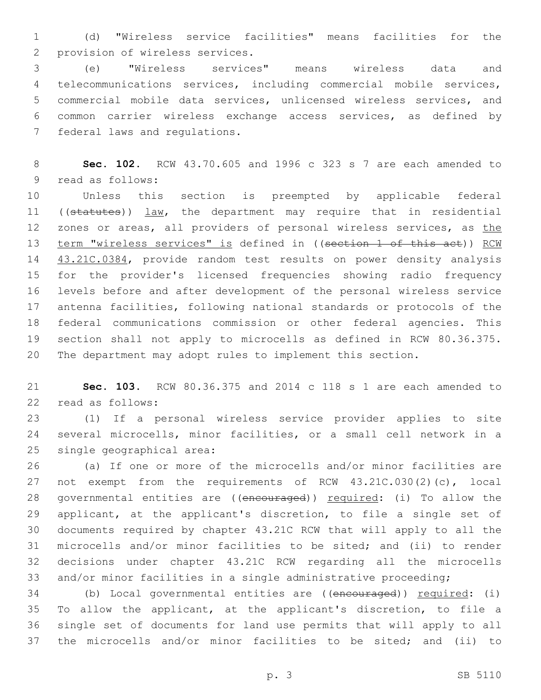(d) "Wireless service facilities" means facilities for the 2 provision of wireless services.

 (e) "Wireless services" means wireless data and telecommunications services, including commercial mobile services, commercial mobile data services, unlicensed wireless services, and common carrier wireless exchange access services, as defined by 7 federal laws and regulations.

 **Sec. 102.** RCW 43.70.605 and 1996 c 323 s 7 are each amended to 9 read as follows:

 Unless this section is preempted by applicable federal ((statutes)) law, the department may require that in residential 12 zones or areas, all providers of personal wireless services, as the 13 term "wireless services" is defined in ((section 1 of this act)) RCW 14 43.21C.0384, provide random test results on power density analysis for the provider's licensed frequencies showing radio frequency levels before and after development of the personal wireless service antenna facilities, following national standards or protocols of the federal communications commission or other federal agencies. This section shall not apply to microcells as defined in RCW 80.36.375. The department may adopt rules to implement this section.

 **Sec. 103.** RCW 80.36.375 and 2014 c 118 s 1 are each amended to 22 read as follows:

 (1) If a personal wireless service provider applies to site several microcells, minor facilities, or a small cell network in a 25 single geographical area:

 (a) If one or more of the microcells and/or minor facilities are not exempt from the requirements of RCW 43.21C.030(2)(c), local 28 governmental entities are ((encouraged)) required: (i) To allow the applicant, at the applicant's discretion, to file a single set of documents required by chapter 43.21C RCW that will apply to all the microcells and/or minor facilities to be sited; and (ii) to render decisions under chapter 43.21C RCW regarding all the microcells and/or minor facilities in a single administrative proceeding;

34 (b) Local governmental entities are ((encouraged)) required: (i) To allow the applicant, at the applicant's discretion, to file a single set of documents for land use permits that will apply to all the microcells and/or minor facilities to be sited; and (ii) to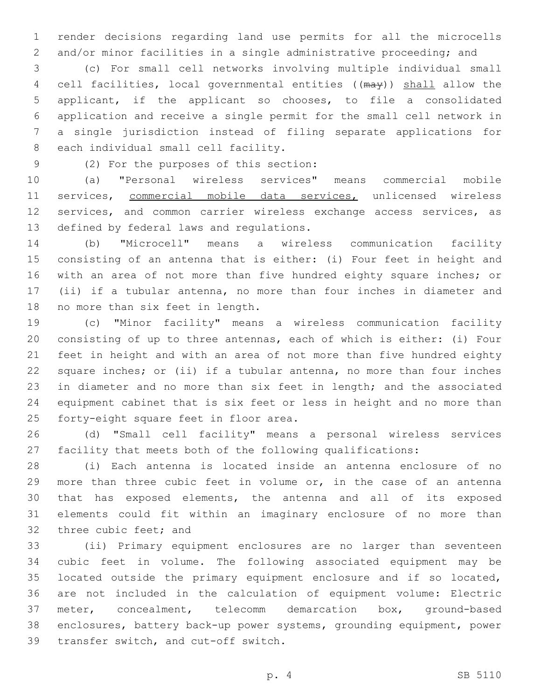render decisions regarding land use permits for all the microcells and/or minor facilities in a single administrative proceeding; and

 (c) For small cell networks involving multiple individual small 4 cell facilities, local governmental entities ((may)) shall allow the applicant, if the applicant so chooses, to file a consolidated application and receive a single permit for the small cell network in a single jurisdiction instead of filing separate applications for 8 each individual small cell facility.

(2) For the purposes of this section:9

 (a) "Personal wireless services" means commercial mobile services, commercial mobile data services, unlicensed wireless services, and common carrier wireless exchange access services, as 13 defined by federal laws and regulations.

 (b) "Microcell" means a wireless communication facility consisting of an antenna that is either: (i) Four feet in height and 16 with an area of not more than five hundred eighty square inches; or (ii) if a tubular antenna, no more than four inches in diameter and 18 no more than six feet in length.

 (c) "Minor facility" means a wireless communication facility consisting of up to three antennas, each of which is either: (i) Four feet in height and with an area of not more than five hundred eighty square inches; or (ii) if a tubular antenna, no more than four inches in diameter and no more than six feet in length; and the associated equipment cabinet that is six feet or less in height and no more than 25 forty-eight square feet in floor area.

 (d) "Small cell facility" means a personal wireless services facility that meets both of the following qualifications:

 (i) Each antenna is located inside an antenna enclosure of no more than three cubic feet in volume or, in the case of an antenna that has exposed elements, the antenna and all of its exposed elements could fit within an imaginary enclosure of no more than 32 three cubic feet; and

 (ii) Primary equipment enclosures are no larger than seventeen cubic feet in volume. The following associated equipment may be located outside the primary equipment enclosure and if so located, are not included in the calculation of equipment volume: Electric meter, concealment, telecomm demarcation box, ground-based enclosures, battery back-up power systems, grounding equipment, power 39 transfer switch, and cut-off switch.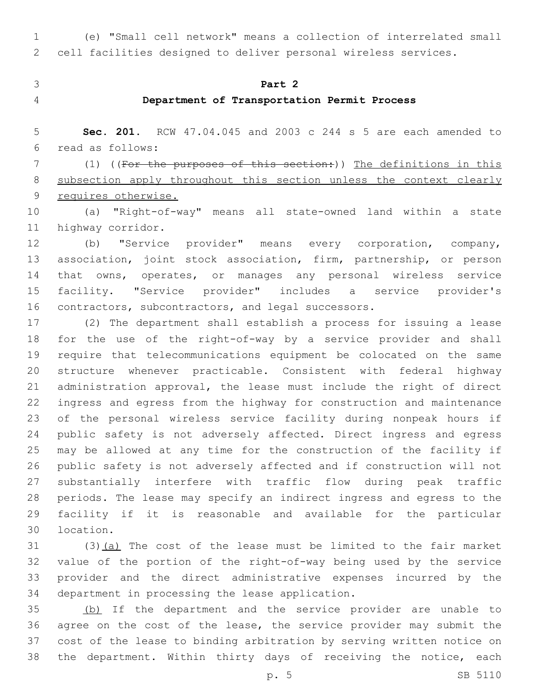(e) "Small cell network" means a collection of interrelated small cell facilities designed to deliver personal wireless services.

- 
- 

# **Part 2**

# **Department of Transportation Permit Process**

 **Sec. 201.** RCW 47.04.045 and 2003 c 244 s 5 are each amended to read as follows:6

7 (1) ((For the purposes of this section:)) The definitions in this 8 subsection apply throughout this section unless the context clearly requires otherwise.

 (a) "Right-of-way" means all state-owned land within a state 11 highway corridor.

 (b) "Service provider" means every corporation, company, 13 association, joint stock association, firm, partnership, or person that owns, operates, or manages any personal wireless service facility. "Service provider" includes a service provider's contractors, subcontractors, and legal successors.

 (2) The department shall establish a process for issuing a lease for the use of the right-of-way by a service provider and shall require that telecommunications equipment be colocated on the same structure whenever practicable. Consistent with federal highway administration approval, the lease must include the right of direct ingress and egress from the highway for construction and maintenance of the personal wireless service facility during nonpeak hours if public safety is not adversely affected. Direct ingress and egress may be allowed at any time for the construction of the facility if public safety is not adversely affected and if construction will not substantially interfere with traffic flow during peak traffic periods. The lease may specify an indirect ingress and egress to the facility if it is reasonable and available for the particular 30 location.

 (3)(a) The cost of the lease must be limited to the fair market value of the portion of the right-of-way being used by the service provider and the direct administrative expenses incurred by the 34 department in processing the lease application.

 (b) If the department and the service provider are unable to agree on the cost of the lease, the service provider may submit the cost of the lease to binding arbitration by serving written notice on 38 the department. Within thirty days of receiving the notice, each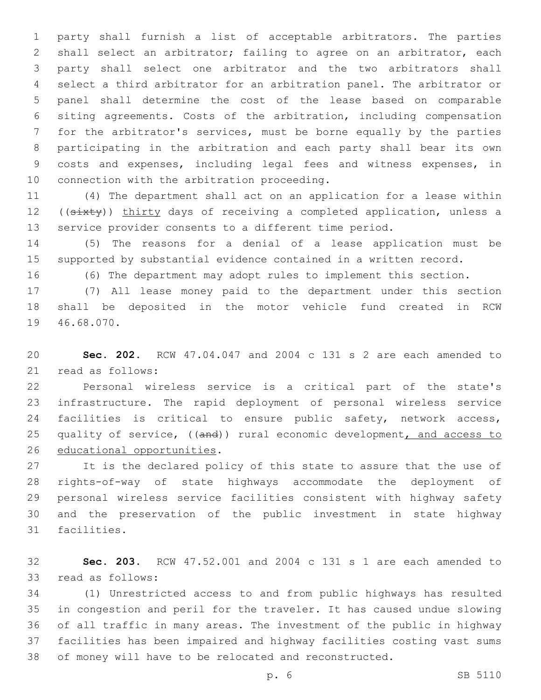party shall furnish a list of acceptable arbitrators. The parties shall select an arbitrator; failing to agree on an arbitrator, each party shall select one arbitrator and the two arbitrators shall select a third arbitrator for an arbitration panel. The arbitrator or panel shall determine the cost of the lease based on comparable siting agreements. Costs of the arbitration, including compensation for the arbitrator's services, must be borne equally by the parties participating in the arbitration and each party shall bear its own costs and expenses, including legal fees and witness expenses, in 10 connection with the arbitration proceeding.

 (4) The department shall act on an application for a lease within 12 ((sixty)) thirty days of receiving a completed application, unless a service provider consents to a different time period.

 (5) The reasons for a denial of a lease application must be supported by substantial evidence contained in a written record.

(6) The department may adopt rules to implement this section.

 (7) All lease money paid to the department under this section shall be deposited in the motor vehicle fund created in RCW 19 46.68.070.

 **Sec. 202.** RCW 47.04.047 and 2004 c 131 s 2 are each amended to 21 read as follows:

 Personal wireless service is a critical part of the state's infrastructure. The rapid deployment of personal wireless service facilities is critical to ensure public safety, network access, 25 quality of service, ((and)) rural economic development, and access to 26 educational opportunities.

 It is the declared policy of this state to assure that the use of rights-of-way of state highways accommodate the deployment of personal wireless service facilities consistent with highway safety and the preservation of the public investment in state highway 31 facilities.

 **Sec. 203.** RCW 47.52.001 and 2004 c 131 s 1 are each amended to 33 read as follows:

 (1) Unrestricted access to and from public highways has resulted in congestion and peril for the traveler. It has caused undue slowing of all traffic in many areas. The investment of the public in highway facilities has been impaired and highway facilities costing vast sums of money will have to be relocated and reconstructed.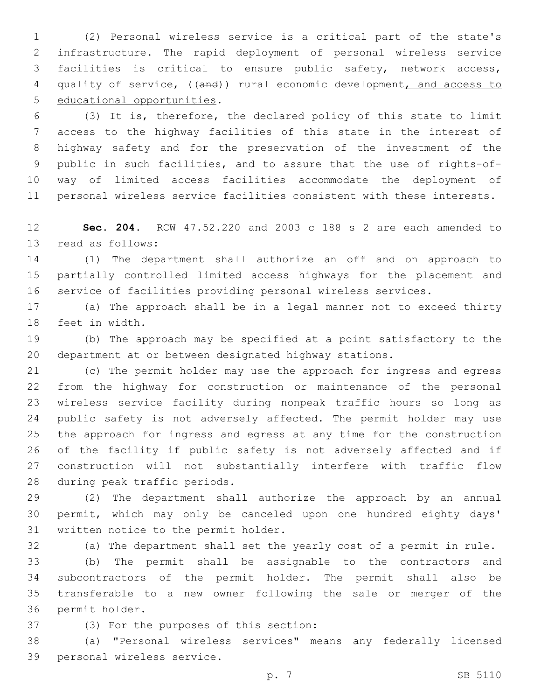(2) Personal wireless service is a critical part of the state's infrastructure. The rapid deployment of personal wireless service facilities is critical to ensure public safety, network access, quality of service, ((and)) rural economic development, and access to 5 educational opportunities.

 (3) It is, therefore, the declared policy of this state to limit access to the highway facilities of this state in the interest of highway safety and for the preservation of the investment of the public in such facilities, and to assure that the use of rights-of- way of limited access facilities accommodate the deployment of personal wireless service facilities consistent with these interests.

 **Sec. 204.** RCW 47.52.220 and 2003 c 188 s 2 are each amended to 13 read as follows:

 (1) The department shall authorize an off and on approach to partially controlled limited access highways for the placement and service of facilities providing personal wireless services.

 (a) The approach shall be in a legal manner not to exceed thirty 18 feet in width.

 (b) The approach may be specified at a point satisfactory to the department at or between designated highway stations.

 (c) The permit holder may use the approach for ingress and egress from the highway for construction or maintenance of the personal wireless service facility during nonpeak traffic hours so long as 24 public safety is not adversely affected. The permit holder may use the approach for ingress and egress at any time for the construction of the facility if public safety is not adversely affected and if construction will not substantially interfere with traffic flow 28 during peak traffic periods.

 (2) The department shall authorize the approach by an annual permit, which may only be canceled upon one hundred eighty days' 31 written notice to the permit holder.

(a) The department shall set the yearly cost of a permit in rule.

 (b) The permit shall be assignable to the contractors and subcontractors of the permit holder. The permit shall also be transferable to a new owner following the sale or merger of the 36 permit holder.

37 (3) For the purposes of this section:

 (a) "Personal wireless services" means any federally licensed 39 personal wireless service.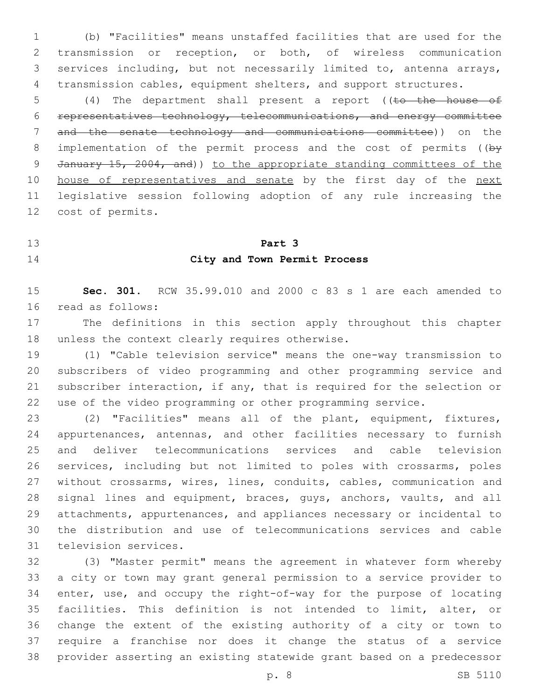(b) "Facilities" means unstaffed facilities that are used for the transmission or reception, or both, of wireless communication services including, but not necessarily limited to, antenna arrays, transmission cables, equipment shelters, and support structures.

5 (4) The department shall present a report ((to the house of representatives technology, telecommunications, and energy committee and the senate technology and communications committee)) on the 8 implementation of the permit process and the cost of permits ( $(b\bar{y})$ 9 January 15, 2004, and)) to the appropriate standing committees of the 10 house of representatives and senate by the first day of the next legislative session following adoption of any rule increasing the 12 cost of permits.

### **Part 3**

# **City and Town Permit Process**

 **Sec. 301.** RCW 35.99.010 and 2000 c 83 s 1 are each amended to 16 read as follows:

 The definitions in this section apply throughout this chapter 18 unless the context clearly requires otherwise.

 (1) "Cable television service" means the one-way transmission to subscribers of video programming and other programming service and subscriber interaction, if any, that is required for the selection or use of the video programming or other programming service.

 (2) "Facilities" means all of the plant, equipment, fixtures, appurtenances, antennas, and other facilities necessary to furnish and deliver telecommunications services and cable television services, including but not limited to poles with crossarms, poles without crossarms, wires, lines, conduits, cables, communication and 28 signal lines and equipment, braces, guys, anchors, vaults, and all attachments, appurtenances, and appliances necessary or incidental to the distribution and use of telecommunications services and cable 31 television services.

 (3) "Master permit" means the agreement in whatever form whereby a city or town may grant general permission to a service provider to enter, use, and occupy the right-of-way for the purpose of locating facilities. This definition is not intended to limit, alter, or change the extent of the existing authority of a city or town to require a franchise nor does it change the status of a service provider asserting an existing statewide grant based on a predecessor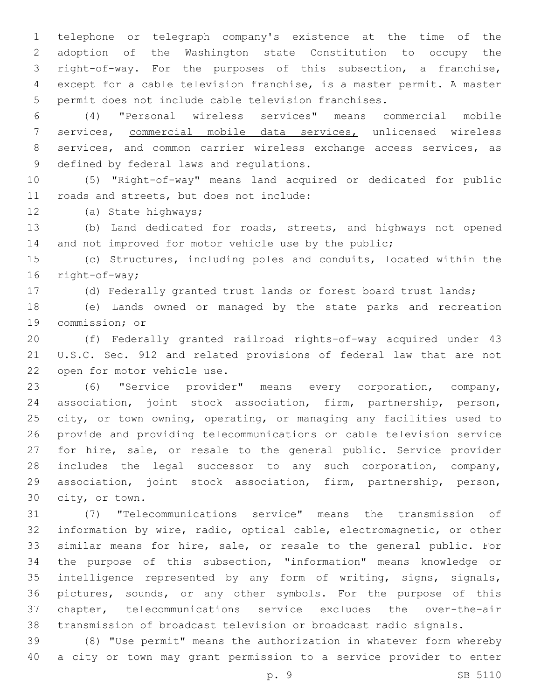telephone or telegraph company's existence at the time of the adoption of the Washington state Constitution to occupy the right-of-way. For the purposes of this subsection, a franchise, except for a cable television franchise, is a master permit. A master permit does not include cable television franchises.

 (4) "Personal wireless services" means commercial mobile services, commercial mobile data services, unlicensed wireless services, and common carrier wireless exchange access services, as 9 defined by federal laws and regulations.

 (5) "Right-of-way" means land acquired or dedicated for public 11 roads and streets, but does not include:

12 (a) State highways;

 (b) Land dedicated for roads, streets, and highways not opened 14 and not improved for motor vehicle use by the public;

 (c) Structures, including poles and conduits, located within the 16 right-of-way;

(d) Federally granted trust lands or forest board trust lands;

 (e) Lands owned or managed by the state parks and recreation 19 commission; or

 (f) Federally granted railroad rights-of-way acquired under 43 U.S.C. Sec. 912 and related provisions of federal law that are not 22 open for motor vehicle use.

 (6) "Service provider" means every corporation, company, association, joint stock association, firm, partnership, person, city, or town owning, operating, or managing any facilities used to provide and providing telecommunications or cable television service for hire, sale, or resale to the general public. Service provider includes the legal successor to any such corporation, company, association, joint stock association, firm, partnership, person, 30 city, or town.

 (7) "Telecommunications service" means the transmission of information by wire, radio, optical cable, electromagnetic, or other similar means for hire, sale, or resale to the general public. For the purpose of this subsection, "information" means knowledge or intelligence represented by any form of writing, signs, signals, pictures, sounds, or any other symbols. For the purpose of this chapter, telecommunications service excludes the over-the-air transmission of broadcast television or broadcast radio signals.

 (8) "Use permit" means the authorization in whatever form whereby a city or town may grant permission to a service provider to enter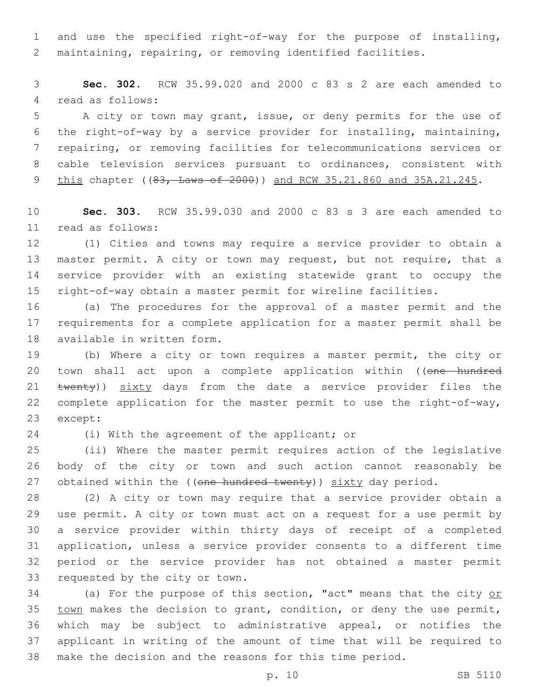and use the specified right-of-way for the purpose of installing, maintaining, repairing, or removing identified facilities.

 **Sec. 302.** RCW 35.99.020 and 2000 c 83 s 2 are each amended to 4 read as follows:

 A city or town may grant, issue, or deny permits for the use of the right-of-way by a service provider for installing, maintaining, repairing, or removing facilities for telecommunications services or cable television services pursuant to ordinances, consistent with 9 this chapter ((83, Laws of 2000)) and RCW 35.21.860 and 35A.21.245.

 **Sec. 303.** RCW 35.99.030 and 2000 c 83 s 3 are each amended to read as follows:11

 (1) Cities and towns may require a service provider to obtain a 13 master permit. A city or town may request, but not require, that a service provider with an existing statewide grant to occupy the right-of-way obtain a master permit for wireline facilities.

 (a) The procedures for the approval of a master permit and the requirements for a complete application for a master permit shall be 18 available in written form.

 (b) Where a city or town requires a master permit, the city or 20 town shall act upon a complete application within ((one hundred 21 twenty)) sixty days from the date a service provider files the complete application for the master permit to use the right-of-way, 23 except:

24 (i) With the agreement of the applicant; or

 (ii) Where the master permit requires action of the legislative body of the city or town and such action cannot reasonably be 27 obtained within the ((one hundred twenty)) sixty day period.

 (2) A city or town may require that a service provider obtain a use permit. A city or town must act on a request for a use permit by a service provider within thirty days of receipt of a completed application, unless a service provider consents to a different time period or the service provider has not obtained a master permit 33 requested by the city or town.

34 (a) For the purpose of this section, "act" means that the city or 35 town makes the decision to grant, condition, or deny the use permit, which may be subject to administrative appeal, or notifies the applicant in writing of the amount of time that will be required to make the decision and the reasons for this time period.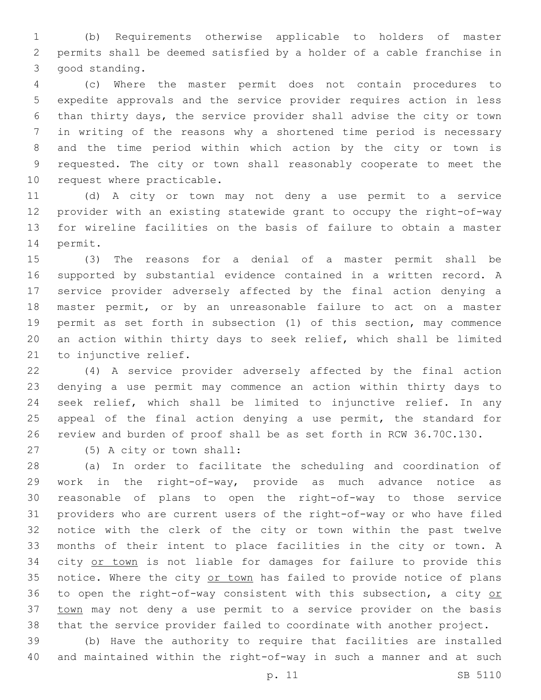(b) Requirements otherwise applicable to holders of master permits shall be deemed satisfied by a holder of a cable franchise in 3 good standing.

 (c) Where the master permit does not contain procedures to expedite approvals and the service provider requires action in less than thirty days, the service provider shall advise the city or town in writing of the reasons why a shortened time period is necessary and the time period within which action by the city or town is requested. The city or town shall reasonably cooperate to meet the 10 request where practicable.

 (d) A city or town may not deny a use permit to a service provider with an existing statewide grant to occupy the right-of-way for wireline facilities on the basis of failure to obtain a master 14 permit.

 (3) The reasons for a denial of a master permit shall be supported by substantial evidence contained in a written record. A service provider adversely affected by the final action denying a master permit, or by an unreasonable failure to act on a master permit as set forth in subsection (1) of this section, may commence an action within thirty days to seek relief, which shall be limited 21 to injunctive relief.

 (4) A service provider adversely affected by the final action denying a use permit may commence an action within thirty days to seek relief, which shall be limited to injunctive relief. In any 25 appeal of the final action denying a use permit, the standard for review and burden of proof shall be as set forth in RCW 36.70C.130.

(5) A city or town shall:27

 (a) In order to facilitate the scheduling and coordination of work in the right-of-way, provide as much advance notice as reasonable of plans to open the right-of-way to those service providers who are current users of the right-of-way or who have filed notice with the clerk of the city or town within the past twelve months of their intent to place facilities in the city or town. A 34 city or town is not liable for damages for failure to provide this 35 notice. Where the city or town has failed to provide notice of plans 36 to open the right-of-way consistent with this subsection, a city or 37 town may not deny a use permit to a service provider on the basis that the service provider failed to coordinate with another project.

 (b) Have the authority to require that facilities are installed and maintained within the right-of-way in such a manner and at such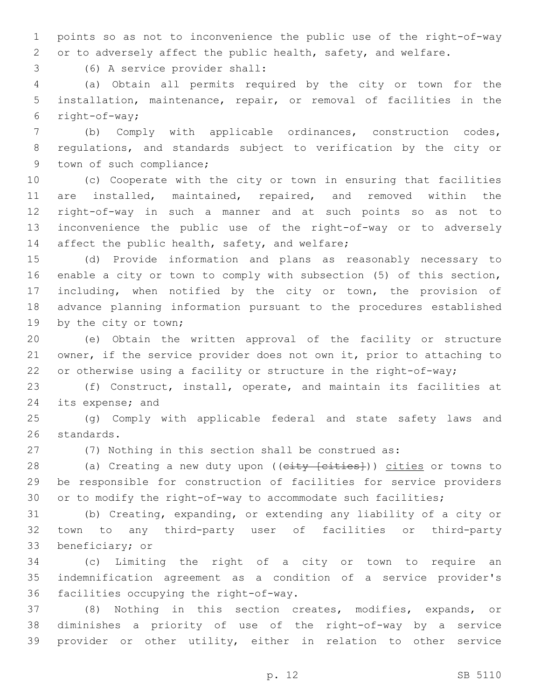points so as not to inconvenience the public use of the right-of-way or to adversely affect the public health, safety, and welfare.

(6) A service provider shall:3

 (a) Obtain all permits required by the city or town for the installation, maintenance, repair, or removal of facilities in the 6  $right-of-way;$ 

 (b) Comply with applicable ordinances, construction codes, regulations, and standards subject to verification by the city or 9 town of such compliance;

 (c) Cooperate with the city or town in ensuring that facilities are installed, maintained, repaired, and removed within the right-of-way in such a manner and at such points so as not to inconvenience the public use of the right-of-way or to adversely 14 affect the public health, safety, and welfare;

 (d) Provide information and plans as reasonably necessary to enable a city or town to comply with subsection (5) of this section, including, when notified by the city or town, the provision of advance planning information pursuant to the procedures established 19 by the city or town;

 (e) Obtain the written approval of the facility or structure owner, if the service provider does not own it, prior to attaching to or otherwise using a facility or structure in the right-of-way;

 (f) Construct, install, operate, and maintain its facilities at 24 its expense; and

 (g) Comply with applicable federal and state safety laws and 26 standards.

(7) Nothing in this section shall be construed as:

28 (a) Creating a new duty upon ((city [cities])) cities or towns to be responsible for construction of facilities for service providers or to modify the right-of-way to accommodate such facilities;

 (b) Creating, expanding, or extending any liability of a city or town to any third-party user of facilities or third-party 33 beneficiary; or

 (c) Limiting the right of a city or town to require an indemnification agreement as a condition of a service provider's 36 facilities occupying the right-of-way.

 (8) Nothing in this section creates, modifies, expands, or diminishes a priority of use of the right-of-way by a service provider or other utility, either in relation to other service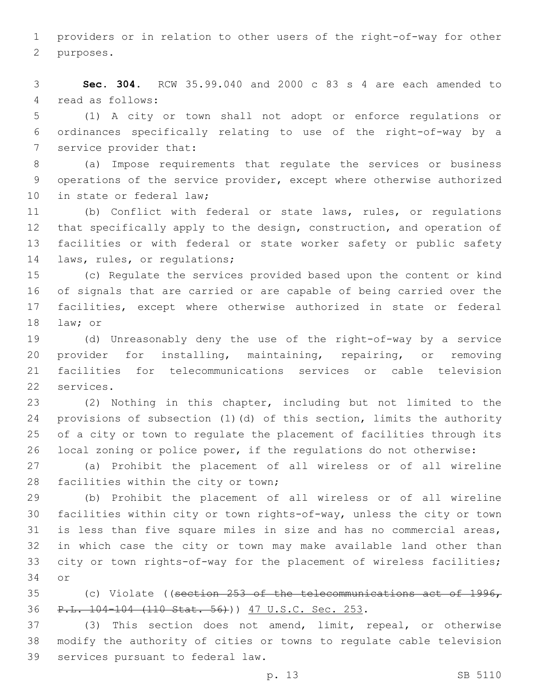providers or in relation to other users of the right-of-way for other 2 purposes.

 **Sec. 304.** RCW 35.99.040 and 2000 c 83 s 4 are each amended to 4 read as follows:

 (1) A city or town shall not adopt or enforce regulations or ordinances specifically relating to use of the right-of-way by a 7 service provider that:

 (a) Impose requirements that regulate the services or business operations of the service provider, except where otherwise authorized 10 in state or federal law;

 (b) Conflict with federal or state laws, rules, or regulations that specifically apply to the design, construction, and operation of facilities or with federal or state worker safety or public safety 14 laws, rules, or regulations;

 (c) Regulate the services provided based upon the content or kind of signals that are carried or are capable of being carried over the facilities, except where otherwise authorized in state or federal 18 law; or

 (d) Unreasonably deny the use of the right-of-way by a service provider for installing, maintaining, repairing, or removing facilities for telecommunications services or cable television 22 services.

 (2) Nothing in this chapter, including but not limited to the provisions of subsection (1)(d) of this section, limits the authority of a city or town to regulate the placement of facilities through its local zoning or police power, if the regulations do not otherwise:

 (a) Prohibit the placement of all wireless or of all wireline 28 facilities within the city or town;

 (b) Prohibit the placement of all wireless or of all wireline facilities within city or town rights-of-way, unless the city or town is less than five square miles in size and has no commercial areas, in which case the city or town may make available land other than city or town rights-of-way for the placement of wireless facilities; 34 or

 (c) Violate ((section 253 of the telecommunications act of 1996, 36 P.L. 104-104 (110 Stat. 56)) 47 U.S.C. Sec. 253.

 (3) This section does not amend, limit, repeal, or otherwise modify the authority of cities or towns to regulate cable television 39 services pursuant to federal law.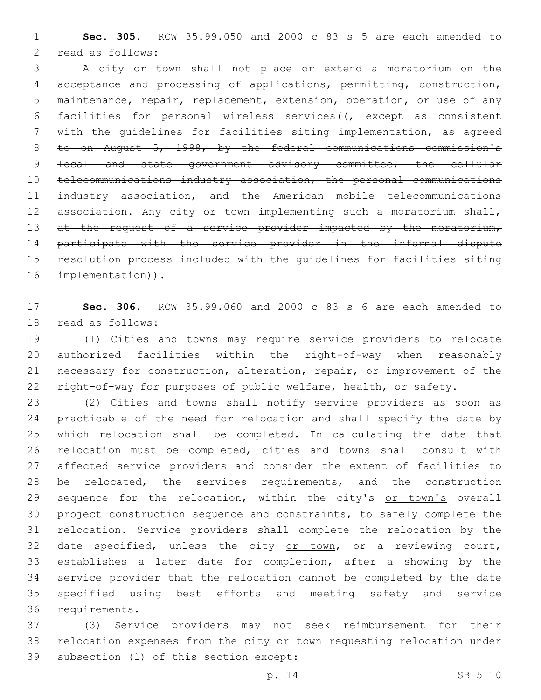**Sec. 305.** RCW 35.99.050 and 2000 c 83 s 5 are each amended to 2 read as follows:

 A city or town shall not place or extend a moratorium on the acceptance and processing of applications, permitting, construction, maintenance, repair, replacement, extension, operation, or use of any 6 facilities for personal wireless services( $(-$  except as consistent with the guidelines for facilities siting implementation, as agreed to on August 5, 1998, by the federal communications commission's 9 local and state government advisory committee, the cellular telecommunications industry association, the personal communications industry association, and the American mobile telecommunications 12 association. Any city or town implementing such a moratorium shall, 13 at the request of a service provider impacted by the moratorium, participate with the service provider in the informal dispute resolution process included with the guidelines for facilities siting 16 implementation)).

 **Sec. 306.** RCW 35.99.060 and 2000 c 83 s 6 are each amended to 18 read as follows:

 (1) Cities and towns may require service providers to relocate authorized facilities within the right-of-way when reasonably necessary for construction, alteration, repair, or improvement of the right-of-way for purposes of public welfare, health, or safety.

 (2) Cities and towns shall notify service providers as soon as practicable of the need for relocation and shall specify the date by which relocation shall be completed. In calculating the date that 26 relocation must be completed, cities and towns shall consult with affected service providers and consider the extent of facilities to 28 be relocated, the services requirements, and the construction 29 sequence for the relocation, within the city's or town's overall project construction sequence and constraints, to safely complete the relocation. Service providers shall complete the relocation by the 32 date specified, unless the city or town, or a reviewing court, establishes a later date for completion, after a showing by the service provider that the relocation cannot be completed by the date specified using best efforts and meeting safety and service 36 requirements.

 (3) Service providers may not seek reimbursement for their relocation expenses from the city or town requesting relocation under 39 subsection (1) of this section except: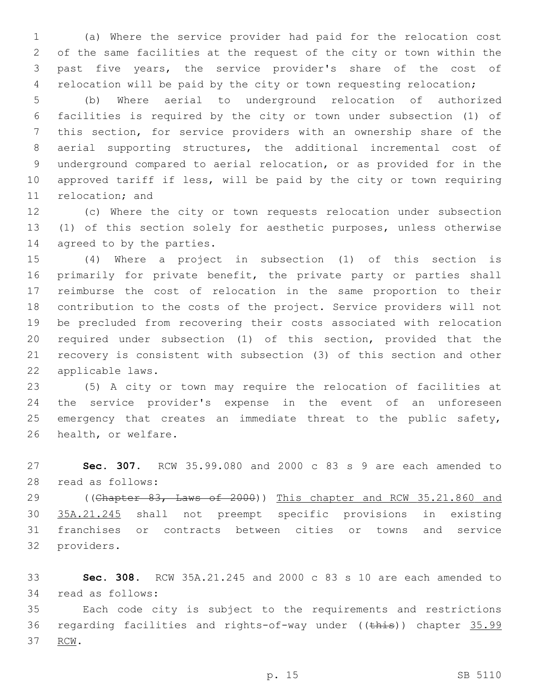(a) Where the service provider had paid for the relocation cost of the same facilities at the request of the city or town within the past five years, the service provider's share of the cost of relocation will be paid by the city or town requesting relocation;

 (b) Where aerial to underground relocation of authorized facilities is required by the city or town under subsection (1) of this section, for service providers with an ownership share of the aerial supporting structures, the additional incremental cost of underground compared to aerial relocation, or as provided for in the approved tariff if less, will be paid by the city or town requiring 11 relocation; and

 (c) Where the city or town requests relocation under subsection (1) of this section solely for aesthetic purposes, unless otherwise 14 agreed to by the parties.

 (4) Where a project in subsection (1) of this section is 16 primarily for private benefit, the private party or parties shall reimburse the cost of relocation in the same proportion to their contribution to the costs of the project. Service providers will not be precluded from recovering their costs associated with relocation required under subsection (1) of this section, provided that the recovery is consistent with subsection (3) of this section and other 22 applicable laws.

 (5) A city or town may require the relocation of facilities at the service provider's expense in the event of an unforeseen 25 emergency that creates an immediate threat to the public safety, 26 health, or welfare.

 **Sec. 307.** RCW 35.99.080 and 2000 c 83 s 9 are each amended to 28 read as follows:

29 ((Chapter 83, Laws of 2000)) This chapter and RCW 35.21.860 and 35A.21.245 shall not preempt specific provisions in existing franchises or contracts between cities or towns and service 32 providers.

 **Sec. 308.** RCW 35A.21.245 and 2000 c 83 s 10 are each amended to 34 read as follows:

 Each code city is subject to the requirements and restrictions 36 regarding facilities and rights-of-way under ((this)) chapter 35.99 37 RCW.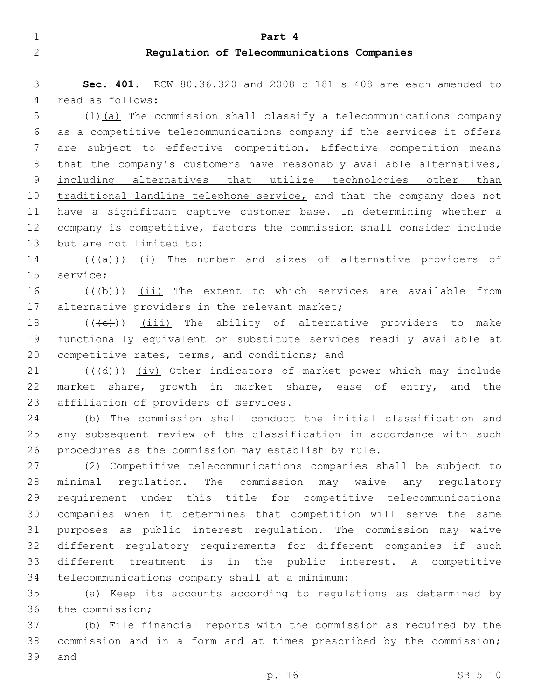#### 1 **Part 4**

## 2 **Regulation of Telecommunications Companies**

3 **Sec. 401.** RCW 80.36.320 and 2008 c 181 s 408 are each amended to 4 read as follows:

5 (1)(a) The commission shall classify a telecommunications company 6 as a competitive telecommunications company if the services it offers 7 are subject to effective competition. Effective competition means 8 that the company's customers have reasonably available alternatives, 9 including alternatives that utilize technologies other than 10 traditional landline telephone service, and that the company does not 11 have a significant captive customer base. In determining whether a 12 company is competitive, factors the commission shall consider include 13 but are not limited to:

14  $((+a))$   $(i)$  The number and sizes of alternative providers of 15 service;

16  $((+b))$   $(ii)$  The extent to which services are available from 17 alternative providers in the relevant market;

18  $((+e))$   $(iii)$  The ability of alternative providers to make 19 functionally equivalent or substitute services readily available at 20 competitive rates, terms, and conditions; and

 $21$  ( $(\overline{4d})$ ) (iv) Other indicators of market power which may include 22 market share, growth in market share, ease of entry, and the 23 affiliation of providers of services.

24 (b) The commission shall conduct the initial classification and 25 any subsequent review of the classification in accordance with such 26 procedures as the commission may establish by rule.

 (2) Competitive telecommunications companies shall be subject to minimal regulation. The commission may waive any regulatory requirement under this title for competitive telecommunications companies when it determines that competition will serve the same purposes as public interest regulation. The commission may waive different regulatory requirements for different companies if such different treatment is in the public interest. A competitive 34 telecommunications company shall at a minimum:

35 (a) Keep its accounts according to regulations as determined by 36 the commission;

37 (b) File financial reports with the commission as required by the 38 commission and in a form and at times prescribed by the commission; 39 and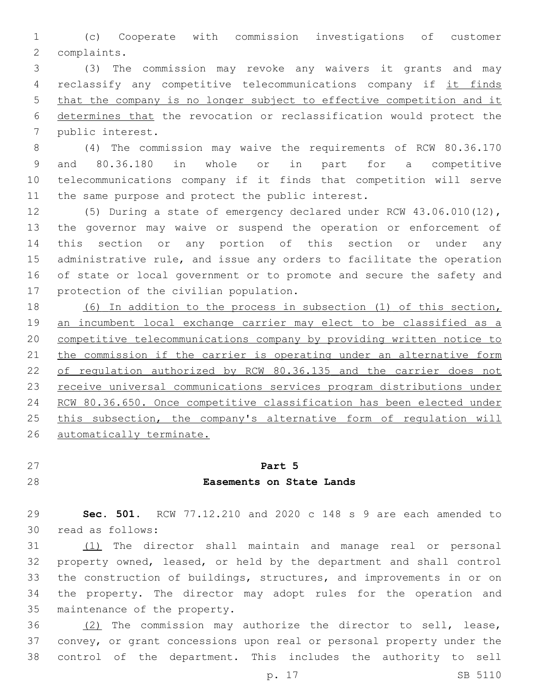(c) Cooperate with commission investigations of customer 2 complaints.

 (3) The commission may revoke any waivers it grants and may 4 reclassify any competitive telecommunications company if it finds that the company is no longer subject to effective competition and it determines that the revocation or reclassification would protect the 7 public interest.

 (4) The commission may waive the requirements of RCW 80.36.170 and 80.36.180 in whole or in part for a competitive telecommunications company if it finds that competition will serve 11 the same purpose and protect the public interest.

 (5) During a state of emergency declared under RCW 43.06.010(12), the governor may waive or suspend the operation or enforcement of this section or any portion of this section or under any administrative rule, and issue any orders to facilitate the operation of state or local government or to promote and secure the safety and 17 protection of the civilian population.

 (6) In addition to the process in subsection (1) of this section, an incumbent local exchange carrier may elect to be classified as a competitive telecommunications company by providing written notice to 21 the commission if the carrier is operating under an alternative form 22 of regulation authorized by RCW 80.36.135 and the carrier does not receive universal communications services program distributions under RCW 80.36.650. Once competitive classification has been elected under 25 this subsection, the company's alternative form of regulation will automatically terminate.

# **Part 5**

# **Easements on State Lands**

 **Sec. 501.** RCW 77.12.210 and 2020 c 148 s 9 are each amended to read as follows:30

 (1) The director shall maintain and manage real or personal property owned, leased, or held by the department and shall control the construction of buildings, structures, and improvements in or on the property. The director may adopt rules for the operation and 35 maintenance of the property.

 (2) The commission may authorize the director to sell, lease, convey, or grant concessions upon real or personal property under the control of the department. This includes the authority to sell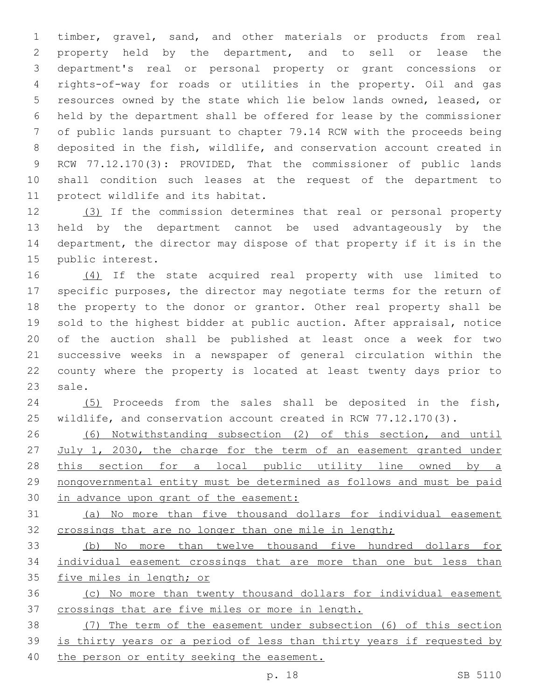timber, gravel, sand, and other materials or products from real property held by the department, and to sell or lease the department's real or personal property or grant concessions or rights-of-way for roads or utilities in the property. Oil and gas resources owned by the state which lie below lands owned, leased, or held by the department shall be offered for lease by the commissioner of public lands pursuant to chapter 79.14 RCW with the proceeds being deposited in the fish, wildlife, and conservation account created in RCW 77.12.170(3): PROVIDED, That the commissioner of public lands shall condition such leases at the request of the department to 11 protect wildlife and its habitat.

 (3) If the commission determines that real or personal property held by the department cannot be used advantageously by the department, the director may dispose of that property if it is in the 15 public interest.

16 (4) If the state acquired real property with use limited to specific purposes, the director may negotiate terms for the return of the property to the donor or grantor. Other real property shall be sold to the highest bidder at public auction. After appraisal, notice of the auction shall be published at least once a week for two successive weeks in a newspaper of general circulation within the county where the property is located at least twenty days prior to 23 sale.

 (5) Proceeds from the sales shall be deposited in the fish, 25 wildlife, and conservation account created in RCW 77.12.170(3).

 (6) Notwithstanding subsection (2) of this section, and until 27 July 1, 2030, the charge for the term of an easement granted under 28 this section for a local public utility line owned by a nongovernmental entity must be determined as follows and must be paid in advance upon grant of the easement:

 (a) No more than five thousand dollars for individual easement 32 crossings that are no longer than one mile in length;

 (b) No more than twelve thousand five hundred dollars for individual easement crossings that are more than one but less than 35 five miles in length; or

 (c) No more than twenty thousand dollars for individual easement crossings that are five miles or more in length.

 (7) The term of the easement under subsection (6) of this section is thirty years or a period of less than thirty years if requested by 40 the person or entity seeking the easement.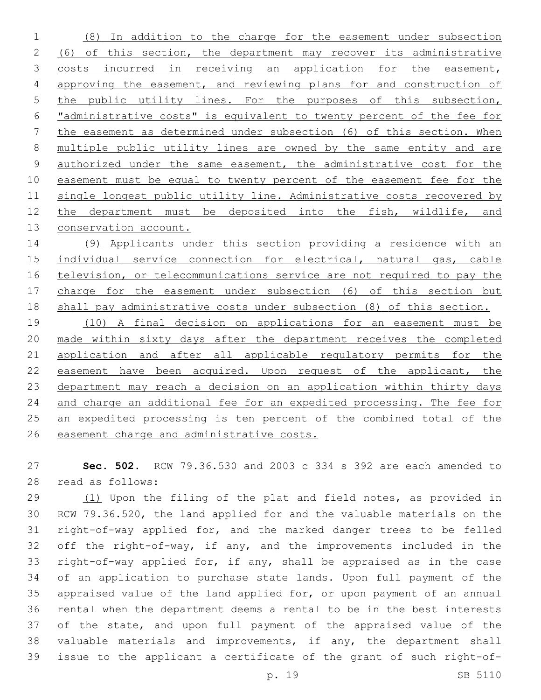(8) In addition to the charge for the easement under subsection (6) of this section, the department may recover its administrative costs incurred in receiving an application for the easement, approving the easement, and reviewing plans for and construction of 5 the public utility lines. For the purposes of this subsection, "administrative costs" is equivalent to twenty percent of the fee for the easement as determined under subsection (6) of this section. When multiple public utility lines are owned by the same entity and are 9 authorized under the same easement, the administrative cost for the easement must be equal to twenty percent of the easement fee for the single longest public utility line. Administrative costs recovered by the department must be deposited into the fish, wildlife, and 13 conservation account.

 (9) Applicants under this section providing a residence with an individual service connection for electrical, natural gas, cable television, or telecommunications service are not required to pay the charge for the easement under subsection (6) of this section but shall pay administrative costs under subsection (8) of this section.

 (10) A final decision on applications for an easement must be made within sixty days after the department receives the completed 21 application and after all applicable regulatory permits for the easement have been acquired. Upon request of the applicant, the department may reach a decision on an application within thirty days and charge an additional fee for an expedited processing. The fee for an expedited processing is ten percent of the combined total of the easement charge and administrative costs.

 **Sec. 502.** RCW 79.36.530 and 2003 c 334 s 392 are each amended to 28 read as follows:

29 (1) Upon the filing of the plat and field notes, as provided in RCW 79.36.520, the land applied for and the valuable materials on the right-of-way applied for, and the marked danger trees to be felled off the right-of-way, if any, and the improvements included in the right-of-way applied for, if any, shall be appraised as in the case of an application to purchase state lands. Upon full payment of the appraised value of the land applied for, or upon payment of an annual rental when the department deems a rental to be in the best interests of the state, and upon full payment of the appraised value of the valuable materials and improvements, if any, the department shall issue to the applicant a certificate of the grant of such right-of-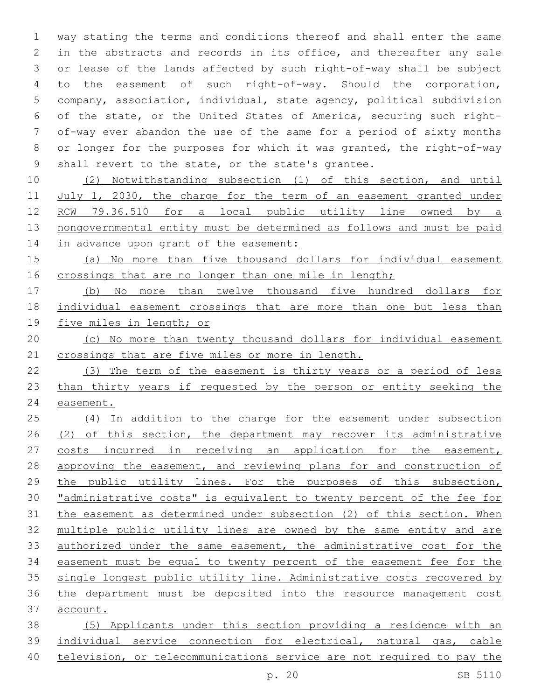way stating the terms and conditions thereof and shall enter the same in the abstracts and records in its office, and thereafter any sale or lease of the lands affected by such right-of-way shall be subject to the easement of such right-of-way. Should the corporation, company, association, individual, state agency, political subdivision of the state, or the United States of America, securing such right- of-way ever abandon the use of the same for a period of sixty months or longer for the purposes for which it was granted, the right-of-way 9 shall revert to the state, or the state's grantee.

 (2) Notwithstanding subsection (1) of this section, and until 11 July 1, 2030, the charge for the term of an easement granted under RCW 79.36.510 for a local public utility line owned by a nongovernmental entity must be determined as follows and must be paid 14 in advance upon grant of the easement:

 (a) No more than five thousand dollars for individual easement 16 crossings that are no longer than one mile in length;

 (b) No more than twelve thousand five hundred dollars for individual easement crossings that are more than one but less than five miles in length; or

 (c) No more than twenty thousand dollars for individual easement 21 crossings that are five miles or more in length.

 (3) The term of the easement is thirty years or a period of less than thirty years if requested by the person or entity seeking the easement.

 (4) In addition to the charge for the easement under subsection 26 (2) of this section, the department may recover its administrative 27 costs incurred in receiving an application for the easement, 28 approving the easement, and reviewing plans for and construction of the public utility lines. For the purposes of this subsection, "administrative costs" is equivalent to twenty percent of the fee for the easement as determined under subsection (2) of this section. When multiple public utility lines are owned by the same entity and are authorized under the same easement, the administrative cost for the easement must be equal to twenty percent of the easement fee for the single longest public utility line. Administrative costs recovered by the department must be deposited into the resource management cost account.

 (5) Applicants under this section providing a residence with an individual service connection for electrical, natural gas, cable television, or telecommunications service are not required to pay the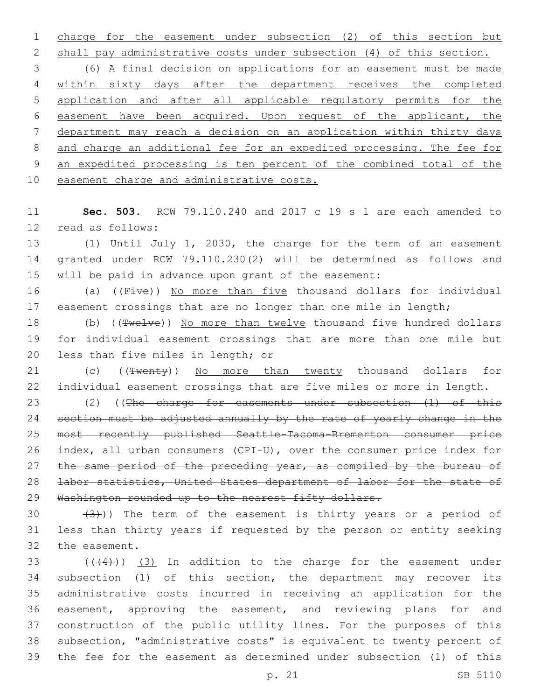charge for the easement under subsection (2) of this section but shall pay administrative costs under subsection (4) of this section. (6) A final decision on applications for an easement must be made within sixty days after the department receives the completed application and after all applicable regulatory permits for the easement have been acquired. Upon request of the applicant, the department may reach a decision on an application within thirty days and charge an additional fee for an expedited processing. The fee for an expedited processing is ten percent of the combined total of the 10 easement charge and administrative costs.

 **Sec. 503.** RCW 79.110.240 and 2017 c 19 s 1 are each amended to 12 read as follows:

 (1) Until July 1, 2030, the charge for the term of an easement granted under RCW 79.110.230(2) will be determined as follows and will be paid in advance upon grant of the easement:

16 (a) ((Five)) No more than five thousand dollars for individual 17 easement crossings that are no longer than one mile in length;

18 (b) ((Twelve)) No more than twelve thousand five hundred dollars for individual easement crossings that are more than one mile but 20 less than five miles in length; or

21 (c) ((Twenty)) No more than twenty thousand dollars for individual easement crossings that are five miles or more in length.

23 (2) ((The charge for easements under subsection (1) of this 24 section must be adjusted annually by the rate of yearly change in the most recently published Seattle-Tacoma-Bremerton consumer price index, all urban consumers (CPI-U), over the consumer price index for 27 the same period of the preceding year, as compiled by the bureau of labor statistics, United States department of labor for the state of 29 Washington rounded up to the nearest fifty dollars.

30  $(3)$ )) The term of the easement is thirty years or a period of less than thirty years if requested by the person or entity seeking 32 the easement.

 ( $(44)$ ))  $(3)$  In addition to the charge for the easement under subsection (1) of this section, the department may recover its administrative costs incurred in receiving an application for the easement, approving the easement, and reviewing plans for and construction of the public utility lines. For the purposes of this subsection, "administrative costs" is equivalent to twenty percent of the fee for the easement as determined under subsection (1) of this

p. 21 SB 5110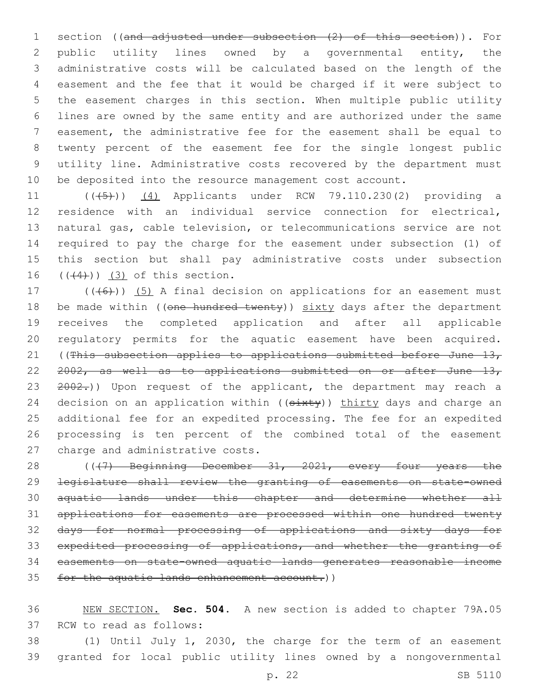1 section ((and adjusted under subsection (2) of this section)). For public utility lines owned by a governmental entity, the administrative costs will be calculated based on the length of the easement and the fee that it would be charged if it were subject to the easement charges in this section. When multiple public utility lines are owned by the same entity and are authorized under the same easement, the administrative fee for the easement shall be equal to twenty percent of the easement fee for the single longest public utility line. Administrative costs recovered by the department must be deposited into the resource management cost account.

11 (((45)) (4) Applicants under RCW 79.110.230(2) providing a residence with an individual service connection for electrical, natural gas, cable television, or telecommunications service are not required to pay the charge for the easement under subsection (1) of this section but shall pay administrative costs under subsection  $((4+))$   $(3)$  of this section.

17 (((6)) (5) A final decision on applications for an easement must 18 be made within ((one hundred twenty)) sixty days after the department receives the completed application and after all applicable regulatory permits for the aquatic easement have been acquired. 21 ((This subsection applies to applications submitted before June 13, 22 2002, as well as to applications submitted on or after June 13, 23 2002.)) Upon request of the applicant, the department may reach a 24 decision on an application within  $($   $(s+1)(s+1)(s+2)$  (show  $s$  and charge an additional fee for an expedited processing. The fee for an expedited processing is ten percent of the combined total of the easement 27 charge and administrative costs.

28 ((47) Beginning December 31, 2021, every four years the legislature shall review the granting of easements on state-owned aquatic lands under this chapter and determine whether all applications for easements are processed within one hundred twenty days for normal processing of applications and sixty days for 33 expedited processing of applications, and whether the granting of easements on state-owned aquatic lands generates reasonable income for the aquatic lands enhancement account.))

 NEW SECTION. **Sec. 504.** A new section is added to chapter 79A.05 37 RCW to read as follows:

 (1) Until July 1, 2030, the charge for the term of an easement granted for local public utility lines owned by a nongovernmental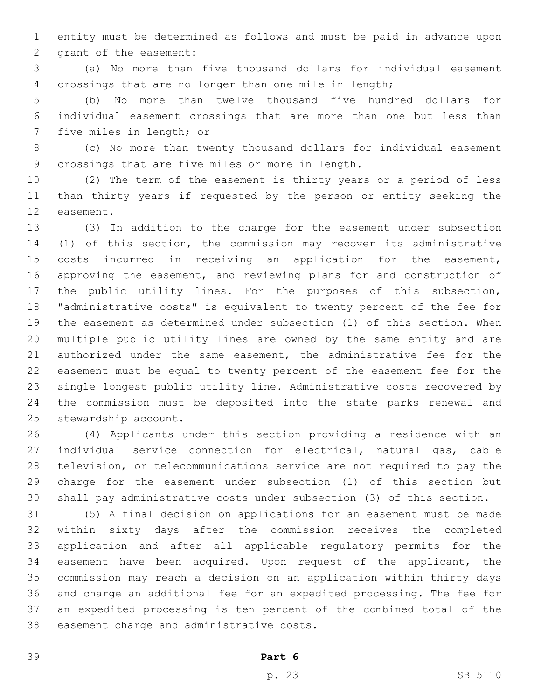entity must be determined as follows and must be paid in advance upon 2 grant of the easement:

 (a) No more than five thousand dollars for individual easement crossings that are no longer than one mile in length;

 (b) No more than twelve thousand five hundred dollars for individual easement crossings that are more than one but less than 7 five miles in length; or

 (c) No more than twenty thousand dollars for individual easement 9 crossings that are five miles or more in length.

 (2) The term of the easement is thirty years or a period of less than thirty years if requested by the person or entity seeking the 12 easement.

 (3) In addition to the charge for the easement under subsection (1) of this section, the commission may recover its administrative costs incurred in receiving an application for the easement, approving the easement, and reviewing plans for and construction of the public utility lines. For the purposes of this subsection, "administrative costs" is equivalent to twenty percent of the fee for the easement as determined under subsection (1) of this section. When multiple public utility lines are owned by the same entity and are authorized under the same easement, the administrative fee for the easement must be equal to twenty percent of the easement fee for the single longest public utility line. Administrative costs recovered by the commission must be deposited into the state parks renewal and 25 stewardship account.

 (4) Applicants under this section providing a residence with an individual service connection for electrical, natural gas, cable television, or telecommunications service are not required to pay the charge for the easement under subsection (1) of this section but shall pay administrative costs under subsection (3) of this section.

 (5) A final decision on applications for an easement must be made within sixty days after the commission receives the completed application and after all applicable regulatory permits for the easement have been acquired. Upon request of the applicant, the commission may reach a decision on an application within thirty days and charge an additional fee for an expedited processing. The fee for an expedited processing is ten percent of the combined total of the 38 easement charge and administrative costs.

**Part 6**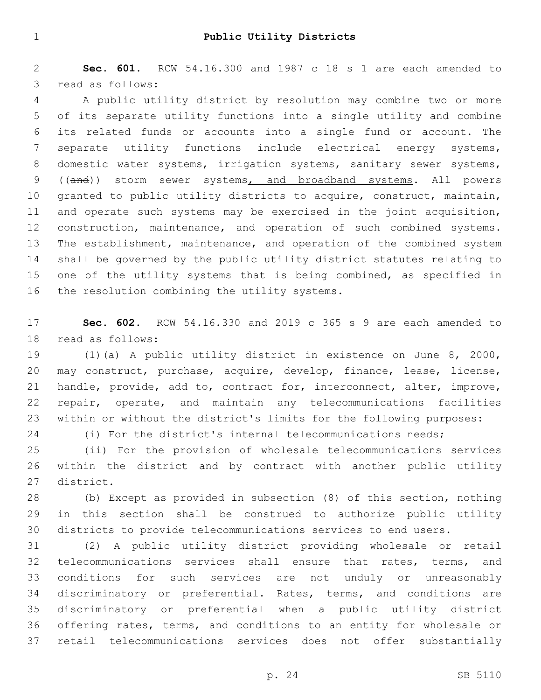**Sec. 601.** RCW 54.16.300 and 1987 c 18 s 1 are each amended to 3 read as follows:

 A public utility district by resolution may combine two or more of its separate utility functions into a single utility and combine its related funds or accounts into a single fund or account. The separate utility functions include electrical energy systems, domestic water systems, irrigation systems, sanitary sewer systems, 9 ((and)) storm sewer systems, and broadband systems. All powers granted to public utility districts to acquire, construct, maintain, and operate such systems may be exercised in the joint acquisition, 12 construction, maintenance, and operation of such combined systems. The establishment, maintenance, and operation of the combined system shall be governed by the public utility district statutes relating to one of the utility systems that is being combined, as specified in 16 the resolution combining the utility systems.

 **Sec. 602.** RCW 54.16.330 and 2019 c 365 s 9 are each amended to 18 read as follows:

 (1)(a) A public utility district in existence on June 8, 2000, may construct, purchase, acquire, develop, finance, lease, license, handle, provide, add to, contract for, interconnect, alter, improve, repair, operate, and maintain any telecommunications facilities within or without the district's limits for the following purposes:

(i) For the district's internal telecommunications needs;

 (ii) For the provision of wholesale telecommunications services within the district and by contract with another public utility 27 district.

 (b) Except as provided in subsection (8) of this section, nothing in this section shall be construed to authorize public utility districts to provide telecommunications services to end users.

 (2) A public utility district providing wholesale or retail telecommunications services shall ensure that rates, terms, and conditions for such services are not unduly or unreasonably discriminatory or preferential. Rates, terms, and conditions are discriminatory or preferential when a public utility district offering rates, terms, and conditions to an entity for wholesale or retail telecommunications services does not offer substantially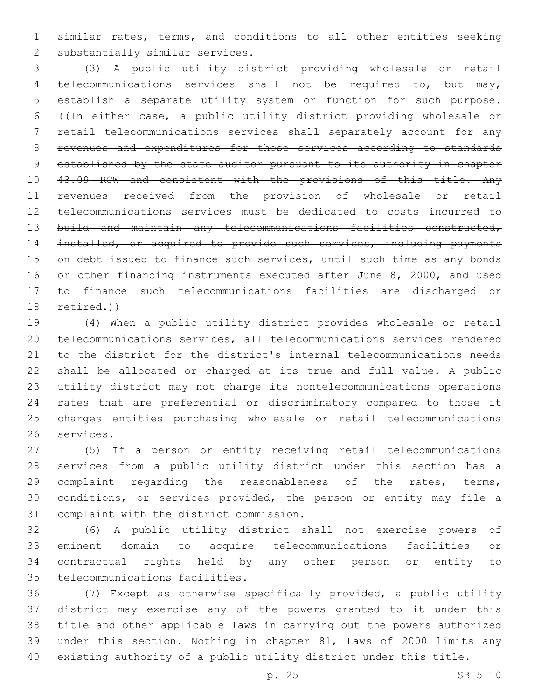similar rates, terms, and conditions to all other entities seeking 2 substantially similar services.

 (3) A public utility district providing wholesale or retail telecommunications services shall not be required to, but may, establish a separate utility system or function for such purpose. ((In either case, a public utility district providing wholesale or retail telecommunications services shall separately account for any revenues and expenditures for those services according to standards established by the state auditor pursuant to its authority in chapter 43.09 RCW and consistent with the provisions of this title. Any revenues received from the provision of wholesale or retail telecommunications services must be dedicated to costs incurred to 13 build and maintain any telecommunications facilities constructed, 14 installed, or acquired to provide such services, including payments 15 on debt issued to finance such services, until such time as any bonds 16 or other financing instruments executed after June 8, 2000, and used to finance such telecommunications facilities are discharged or retired.)

 (4) When a public utility district provides wholesale or retail telecommunications services, all telecommunications services rendered to the district for the district's internal telecommunications needs shall be allocated or charged at its true and full value. A public utility district may not charge its nontelecommunications operations rates that are preferential or discriminatory compared to those it charges entities purchasing wholesale or retail telecommunications 26 services.

 (5) If a person or entity receiving retail telecommunications services from a public utility district under this section has a 29 complaint regarding the reasonableness of the rates, terms, conditions, or services provided, the person or entity may file a 31 complaint with the district commission.

 (6) A public utility district shall not exercise powers of eminent domain to acquire telecommunications facilities or contractual rights held by any other person or entity to 35 telecommunications facilities.

 (7) Except as otherwise specifically provided, a public utility district may exercise any of the powers granted to it under this title and other applicable laws in carrying out the powers authorized under this section. Nothing in chapter 81, Laws of 2000 limits any existing authority of a public utility district under this title.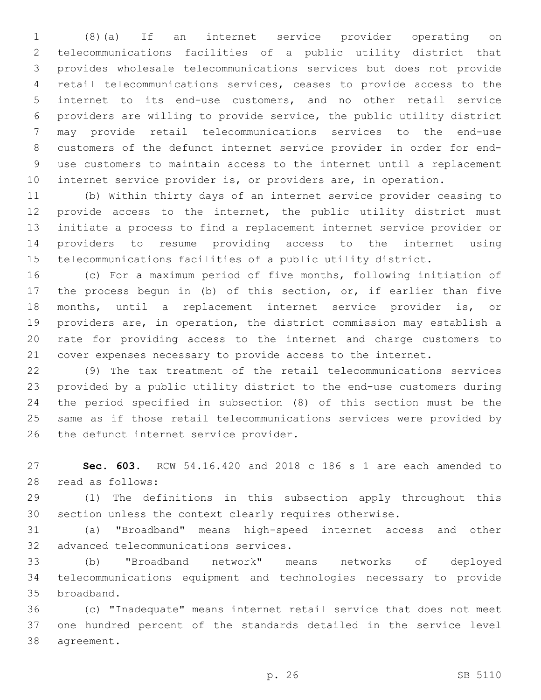(8)(a) If an internet service provider operating on telecommunications facilities of a public utility district that provides wholesale telecommunications services but does not provide retail telecommunications services, ceases to provide access to the internet to its end-use customers, and no other retail service providers are willing to provide service, the public utility district may provide retail telecommunications services to the end-use customers of the defunct internet service provider in order for end- use customers to maintain access to the internet until a replacement internet service provider is, or providers are, in operation.

 (b) Within thirty days of an internet service provider ceasing to provide access to the internet, the public utility district must initiate a process to find a replacement internet service provider or providers to resume providing access to the internet using telecommunications facilities of a public utility district.

 (c) For a maximum period of five months, following initiation of the process begun in (b) of this section, or, if earlier than five months, until a replacement internet service provider is, or providers are, in operation, the district commission may establish a rate for providing access to the internet and charge customers to cover expenses necessary to provide access to the internet.

 (9) The tax treatment of the retail telecommunications services provided by a public utility district to the end-use customers during the period specified in subsection (8) of this section must be the same as if those retail telecommunications services were provided by 26 the defunct internet service provider.

 **Sec. 603.** RCW 54.16.420 and 2018 c 186 s 1 are each amended to read as follows:28

 (1) The definitions in this subsection apply throughout this section unless the context clearly requires otherwise.

 (a) "Broadband" means high-speed internet access and other 32 advanced telecommunications services.

 (b) "Broadband network" means networks of deployed telecommunications equipment and technologies necessary to provide 35 broadband.

 (c) "Inadequate" means internet retail service that does not meet one hundred percent of the standards detailed in the service level 38 agreement.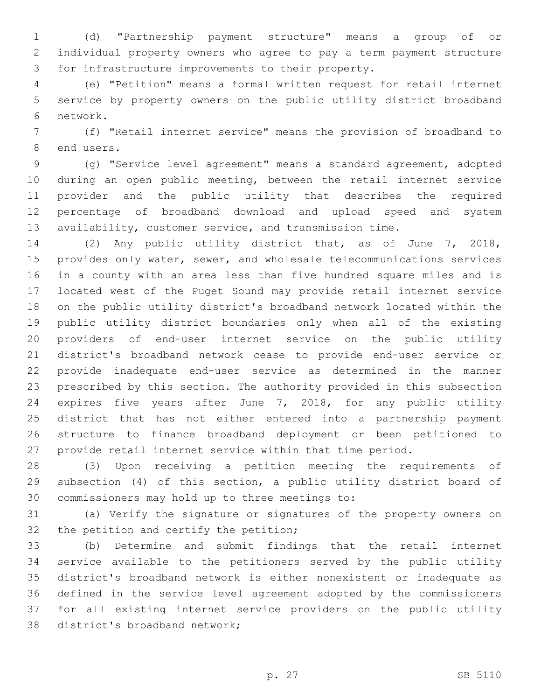(d) "Partnership payment structure" means a group of or individual property owners who agree to pay a term payment structure 3 for infrastructure improvements to their property.

 (e) "Petition" means a formal written request for retail internet service by property owners on the public utility district broadband 6 network.

 (f) "Retail internet service" means the provision of broadband to 8 end users.

 (g) "Service level agreement" means a standard agreement, adopted during an open public meeting, between the retail internet service provider and the public utility that describes the required percentage of broadband download and upload speed and system availability, customer service, and transmission time.

 (2) Any public utility district that, as of June 7, 2018, provides only water, sewer, and wholesale telecommunications services in a county with an area less than five hundred square miles and is located west of the Puget Sound may provide retail internet service on the public utility district's broadband network located within the public utility district boundaries only when all of the existing providers of end-user internet service on the public utility district's broadband network cease to provide end-user service or provide inadequate end-user service as determined in the manner prescribed by this section. The authority provided in this subsection expires five years after June 7, 2018, for any public utility district that has not either entered into a partnership payment structure to finance broadband deployment or been petitioned to provide retail internet service within that time period.

 (3) Upon receiving a petition meeting the requirements of subsection (4) of this section, a public utility district board of 30 commissioners may hold up to three meetings to:

 (a) Verify the signature or signatures of the property owners on 32 the petition and certify the petition;

 (b) Determine and submit findings that the retail internet service available to the petitioners served by the public utility district's broadband network is either nonexistent or inadequate as defined in the service level agreement adopted by the commissioners for all existing internet service providers on the public utility 38 district's broadband network;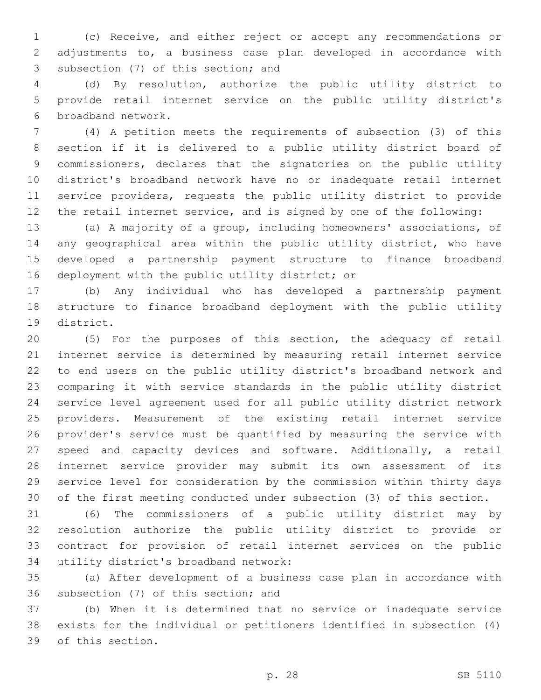(c) Receive, and either reject or accept any recommendations or adjustments to, a business case plan developed in accordance with 3 subsection (7) of this section; and

 (d) By resolution, authorize the public utility district to provide retail internet service on the public utility district's 6 broadband network.

 (4) A petition meets the requirements of subsection (3) of this section if it is delivered to a public utility district board of commissioners, declares that the signatories on the public utility district's broadband network have no or inadequate retail internet service providers, requests the public utility district to provide the retail internet service, and is signed by one of the following:

 (a) A majority of a group, including homeowners' associations, of any geographical area within the public utility district, who have developed a partnership payment structure to finance broadband 16 deployment with the public utility district; or

 (b) Any individual who has developed a partnership payment structure to finance broadband deployment with the public utility 19 district.

 (5) For the purposes of this section, the adequacy of retail internet service is determined by measuring retail internet service to end users on the public utility district's broadband network and comparing it with service standards in the public utility district service level agreement used for all public utility district network providers. Measurement of the existing retail internet service provider's service must be quantified by measuring the service with speed and capacity devices and software. Additionally, a retail internet service provider may submit its own assessment of its service level for consideration by the commission within thirty days of the first meeting conducted under subsection (3) of this section.

 (6) The commissioners of a public utility district may by resolution authorize the public utility district to provide or contract for provision of retail internet services on the public 34 utility district's broadband network:

 (a) After development of a business case plan in accordance with 36 subsection (7) of this section; and

 (b) When it is determined that no service or inadequate service exists for the individual or petitioners identified in subsection (4) 39 of this section.

p. 28 SB 5110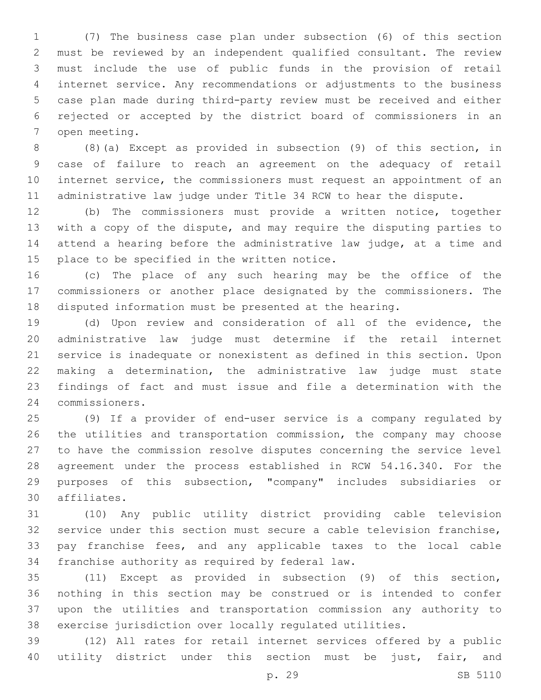(7) The business case plan under subsection (6) of this section must be reviewed by an independent qualified consultant. The review must include the use of public funds in the provision of retail internet service. Any recommendations or adjustments to the business case plan made during third-party review must be received and either rejected or accepted by the district board of commissioners in an 7 open meeting.

 (8)(a) Except as provided in subsection (9) of this section, in case of failure to reach an agreement on the adequacy of retail internet service, the commissioners must request an appointment of an administrative law judge under Title 34 RCW to hear the dispute.

 (b) The commissioners must provide a written notice, together with a copy of the dispute, and may require the disputing parties to attend a hearing before the administrative law judge, at a time and 15 place to be specified in the written notice.

 (c) The place of any such hearing may be the office of the commissioners or another place designated by the commissioners. The disputed information must be presented at the hearing.

 (d) Upon review and consideration of all of the evidence, the administrative law judge must determine if the retail internet service is inadequate or nonexistent as defined in this section. Upon making a determination, the administrative law judge must state findings of fact and must issue and file a determination with the commissioners.24

 (9) If a provider of end-user service is a company regulated by the utilities and transportation commission, the company may choose to have the commission resolve disputes concerning the service level agreement under the process established in RCW 54.16.340. For the purposes of this subsection, "company" includes subsidiaries or affiliates.30

 (10) Any public utility district providing cable television service under this section must secure a cable television franchise, pay franchise fees, and any applicable taxes to the local cable 34 franchise authority as required by federal law.

 (11) Except as provided in subsection (9) of this section, nothing in this section may be construed or is intended to confer upon the utilities and transportation commission any authority to exercise jurisdiction over locally regulated utilities.

 (12) All rates for retail internet services offered by a public utility district under this section must be just, fair, and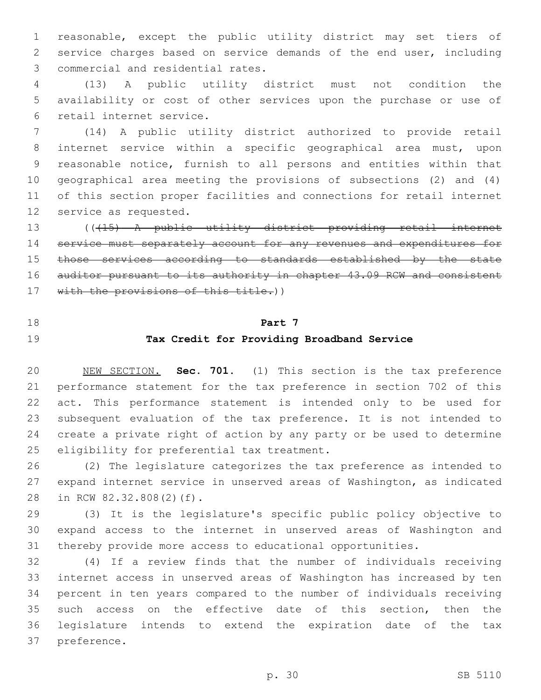reasonable, except the public utility district may set tiers of service charges based on service demands of the end user, including 3 commercial and residential rates.

 (13) A public utility district must not condition the availability or cost of other services upon the purchase or use of 6 retail internet service.

 (14) A public utility district authorized to provide retail internet service within a specific geographical area must, upon reasonable notice, furnish to all persons and entities within that geographical area meeting the provisions of subsections (2) and (4) of this section proper facilities and connections for retail internet 12 service as requested.

 (((15) A public utility district providing retail internet service must separately account for any revenues and expenditures for 15 those services according to standards established by the state auditor pursuant to its authority in chapter 43.09 RCW and consistent 17 with the provisions of this title.))

# **Part 7**

# **Tax Credit for Providing Broadband Service**

 NEW SECTION. **Sec. 701.** (1) This section is the tax preference performance statement for the tax preference in section 702 of this act. This performance statement is intended only to be used for subsequent evaluation of the tax preference. It is not intended to create a private right of action by any party or be used to determine eligibility for preferential tax treatment.

 (2) The legislature categorizes the tax preference as intended to expand internet service in unserved areas of Washington, as indicated 28 in RCW 82.32.808(2)(f).

 (3) It is the legislature's specific public policy objective to expand access to the internet in unserved areas of Washington and thereby provide more access to educational opportunities.

 (4) If a review finds that the number of individuals receiving internet access in unserved areas of Washington has increased by ten percent in ten years compared to the number of individuals receiving such access on the effective date of this section, then the legislature intends to extend the expiration date of the tax 37 preference.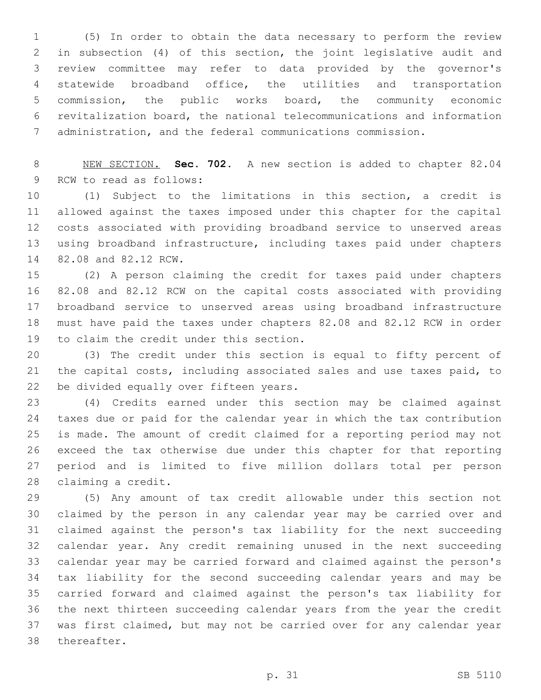(5) In order to obtain the data necessary to perform the review in subsection (4) of this section, the joint legislative audit and review committee may refer to data provided by the governor's statewide broadband office, the utilities and transportation commission, the public works board, the community economic revitalization board, the national telecommunications and information administration, and the federal communications commission.

 NEW SECTION. **Sec. 702.** A new section is added to chapter 82.04 9 RCW to read as follows:

 (1) Subject to the limitations in this section, a credit is allowed against the taxes imposed under this chapter for the capital costs associated with providing broadband service to unserved areas using broadband infrastructure, including taxes paid under chapters 14 82.08 and 82.12 RCW.

 (2) A person claiming the credit for taxes paid under chapters 82.08 and 82.12 RCW on the capital costs associated with providing broadband service to unserved areas using broadband infrastructure must have paid the taxes under chapters 82.08 and 82.12 RCW in order 19 to claim the credit under this section.

 (3) The credit under this section is equal to fifty percent of the capital costs, including associated sales and use taxes paid, to 22 be divided equally over fifteen years.

 (4) Credits earned under this section may be claimed against taxes due or paid for the calendar year in which the tax contribution is made. The amount of credit claimed for a reporting period may not exceed the tax otherwise due under this chapter for that reporting period and is limited to five million dollars total per person 28 claiming a credit.

 (5) Any amount of tax credit allowable under this section not claimed by the person in any calendar year may be carried over and claimed against the person's tax liability for the next succeeding calendar year. Any credit remaining unused in the next succeeding calendar year may be carried forward and claimed against the person's tax liability for the second succeeding calendar years and may be carried forward and claimed against the person's tax liability for the next thirteen succeeding calendar years from the year the credit was first claimed, but may not be carried over for any calendar year 38 thereafter.

p. 31 SB 5110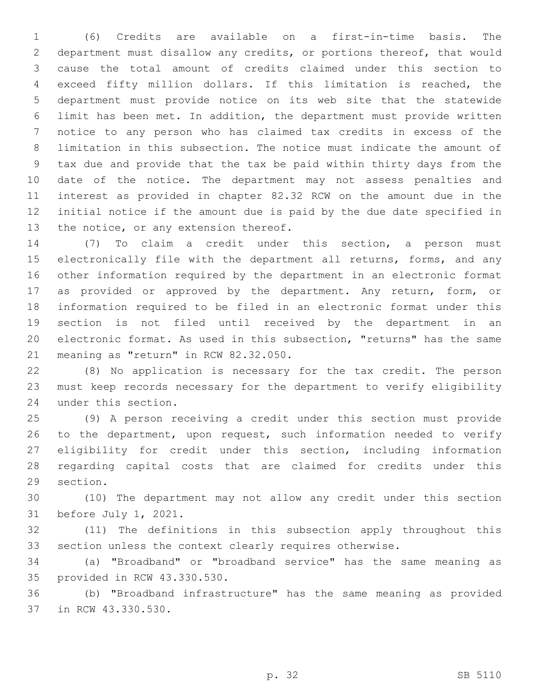(6) Credits are available on a first-in-time basis. The department must disallow any credits, or portions thereof, that would cause the total amount of credits claimed under this section to exceed fifty million dollars. If this limitation is reached, the department must provide notice on its web site that the statewide limit has been met. In addition, the department must provide written notice to any person who has claimed tax credits in excess of the limitation in this subsection. The notice must indicate the amount of tax due and provide that the tax be paid within thirty days from the date of the notice. The department may not assess penalties and interest as provided in chapter 82.32 RCW on the amount due in the initial notice if the amount due is paid by the due date specified in 13 the notice, or any extension thereof.

 (7) To claim a credit under this section, a person must electronically file with the department all returns, forms, and any other information required by the department in an electronic format as provided or approved by the department. Any return, form, or information required to be filed in an electronic format under this section is not filed until received by the department in an electronic format. As used in this subsection, "returns" has the same 21 meaning as "return" in RCW 82.32.050.

 (8) No application is necessary for the tax credit. The person must keep records necessary for the department to verify eligibility 24 under this section.

 (9) A person receiving a credit under this section must provide 26 to the department, upon request, such information needed to verify eligibility for credit under this section, including information regarding capital costs that are claimed for credits under this 29 section.

 (10) The department may not allow any credit under this section 31 before July 1, 2021.

 (11) The definitions in this subsection apply throughout this section unless the context clearly requires otherwise.

 (a) "Broadband" or "broadband service" has the same meaning as 35 provided in RCW 43.330.530.

 (b) "Broadband infrastructure" has the same meaning as provided 37 in RCW 43.330.530.